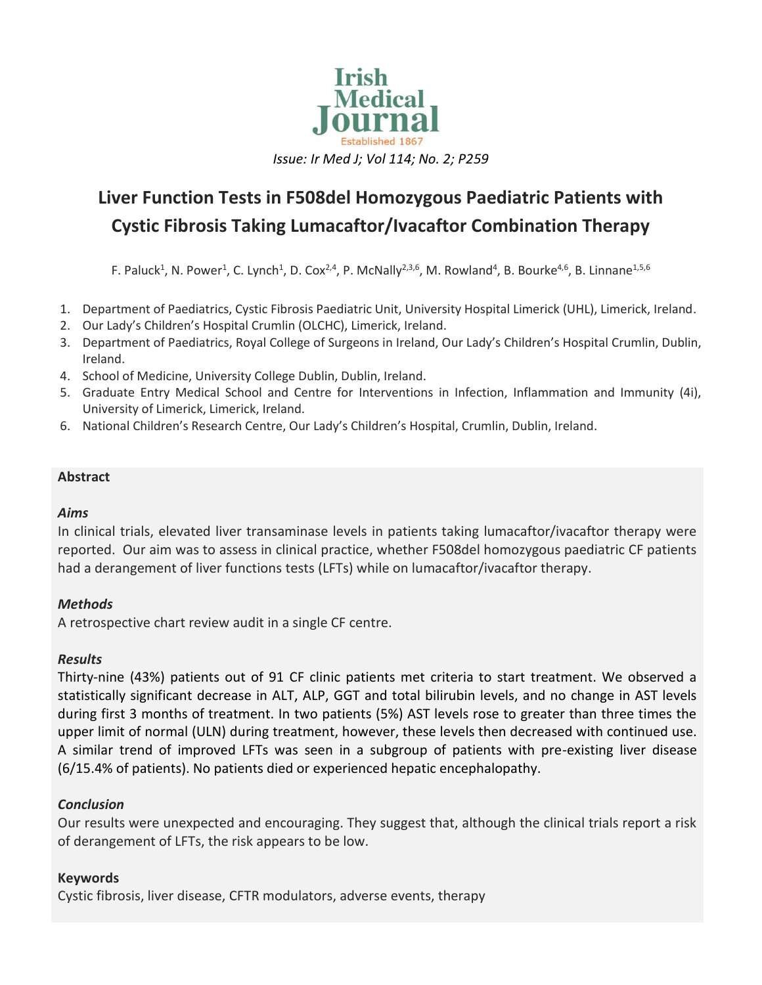

# **Liver Function Tests in F508del Homozygous Paediatric Patients with Cystic Fibrosis Taking Lumacaftor/Ivacaftor Combination Therapy**

F. Paluck<sup>1</sup>, N. Power<sup>1</sup>, C. Lynch<sup>1</sup>, D. Cox<sup>2,4</sup>, P. McNally<sup>2,3,6</sup>, M. Rowland<sup>4</sup>, B. Bourke<sup>4,6</sup>, B. Linnane<sup>1,5,6</sup>

- 1. Department of Paediatrics, Cystic Fibrosis Paediatric Unit, University Hospital Limerick (UHL), Limerick, Ireland.
- 2. Our Lady's Children's Hospital Crumlin (OLCHC), Limerick, Ireland.
- 3. Department of Paediatrics, Royal College of Surgeons in Ireland, Our Lady's Children's Hospital Crumlin, Dublin, Ireland.
- 4. School of Medicine, University College Dublin, Dublin, Ireland.
- 5. Graduate Entry Medical School and Centre for Interventions in Infection, Inflammation and Immunity (4i), University of Limerick, Limerick, Ireland.
- 6. National Children's Research Centre, Our Lady's Children's Hospital, Crumlin, Dublin, Ireland.

## **Abstract**

#### *Aims*

In clinical trials, elevated liver transaminase levels in patients taking lumacaftor/ivacaftor therapy were reported. Our aim was to assess in clinical practice, whether F508del homozygous paediatric CF patients had a derangement of liver functions tests (LFTs) while on lumacaftor/ivacaftor therapy.

# *Methods*

A retrospective chart review audit in a single CF centre.

# *Results*

Thirty-nine (43%) patients out of 91 CF clinic patients met criteria to start treatment. We observed a statistically significant decrease in ALT, ALP, GGT and total bilirubin levels, and no change in AST levels during first 3 months of treatment. In two patients (5%) AST levels rose to greater than three times the upper limit of normal (ULN) during treatment, however, these levels then decreased with continued use. A similar trend of improved LFTs was seen in a subgroup of patients with pre-existing liver disease (6/15.4% of patients). No patients died or experienced hepatic encephalopathy.

# *Conclusion*

Our results were unexpected and encouraging. They suggest that, although the clinical trials report a risk of derangement of LFTs, the risk appears to be low.

# **Keywords**

Cystic fibrosis, liver disease, CFTR modulators, adverse events, therapy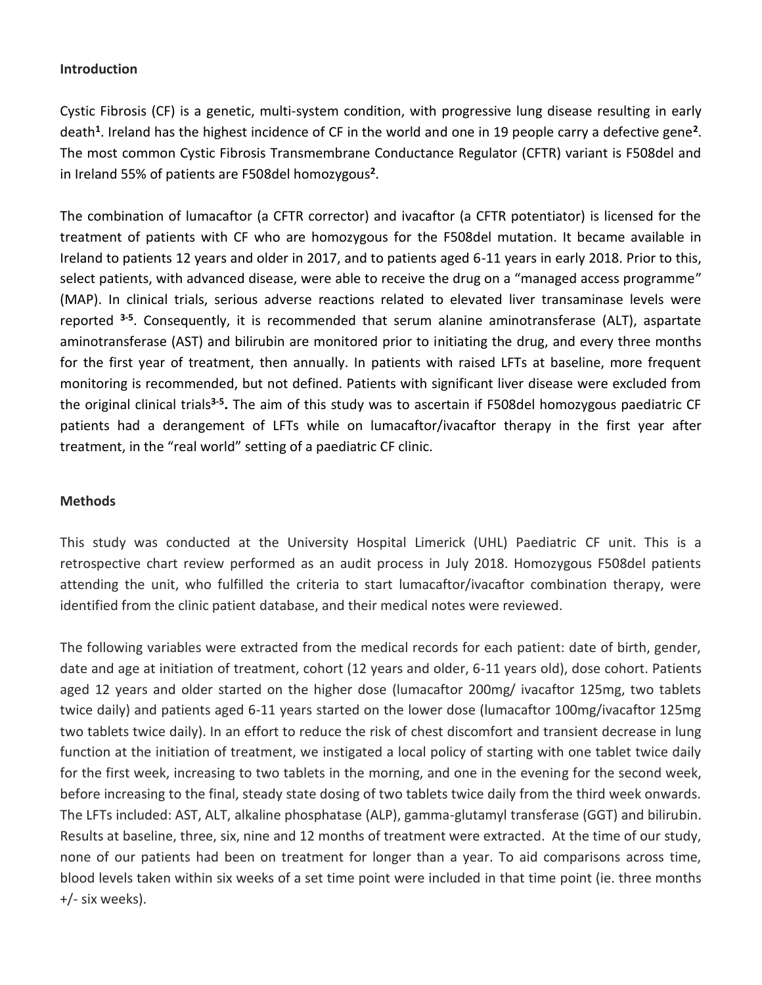#### **Introduction**

Cystic Fibrosis (CF) is a genetic, multi-system condition, with progressive lung disease resulting in early death**<sup>1</sup>** . Ireland has the highest incidence of CF in the world and one in 19 people carry a defective gene**<sup>2</sup>** . The most common Cystic Fibrosis Transmembrane Conductance Regulator (CFTR) variant is F508del and in Ireland 55% of patients are F508del homozygous**<sup>2</sup>** .

The combination of lumacaftor (a CFTR corrector) and ivacaftor (a CFTR potentiator) is licensed for the treatment of patients with CF who are homozygous for the F508del mutation. It became available in Ireland to patients 12 years and older in 2017, and to patients aged 6-11 years in early 2018. Prior to this, select patients, with advanced disease, were able to receive the drug on a "managed access programme" (MAP). In clinical trials, serious adverse reactions related to elevated liver transaminase levels were reported **3-5** . Consequently, it is recommended that serum alanine aminotransferase (ALT), aspartate aminotransferase (AST) and bilirubin are monitored prior to initiating the drug, and every three months for the first year of treatment, then annually. In patients with raised LFTs at baseline, more frequent monitoring is recommended, but not defined. Patients with significant liver disease were excluded from the original clinical trials**3-5 .** The aim of this study was to ascertain if F508del homozygous paediatric CF patients had a derangement of LFTs while on lumacaftor/ivacaftor therapy in the first year after treatment, in the "real world" setting of a paediatric CF clinic.

#### **Methods**

This study was conducted at the University Hospital Limerick (UHL) Paediatric CF unit. This is a retrospective chart review performed as an audit process in July 2018. Homozygous F508del patients attending the unit, who fulfilled the criteria to start lumacaftor/ivacaftor combination therapy, were identified from the clinic patient database, and their medical notes were reviewed.

The following variables were extracted from the medical records for each patient: date of birth, gender, date and age at initiation of treatment, cohort (12 years and older, 6-11 years old), dose cohort. Patients aged 12 years and older started on the higher dose (lumacaftor 200mg/ ivacaftor 125mg, two tablets twice daily) and patients aged 6-11 years started on the lower dose (lumacaftor 100mg/ivacaftor 125mg two tablets twice daily). In an effort to reduce the risk of chest discomfort and transient decrease in lung function at the initiation of treatment, we instigated a local policy of starting with one tablet twice daily for the first week, increasing to two tablets in the morning, and one in the evening for the second week, before increasing to the final, steady state dosing of two tablets twice daily from the third week onwards. The LFTs included: AST, ALT, alkaline phosphatase (ALP), gamma-glutamyl transferase (GGT) and bilirubin. Results at baseline, three, six, nine and 12 months of treatment were extracted. At the time of our study, none of our patients had been on treatment for longer than a year. To aid comparisons across time, blood levels taken within six weeks of a set time point were included in that time point (ie. three months +/- six weeks).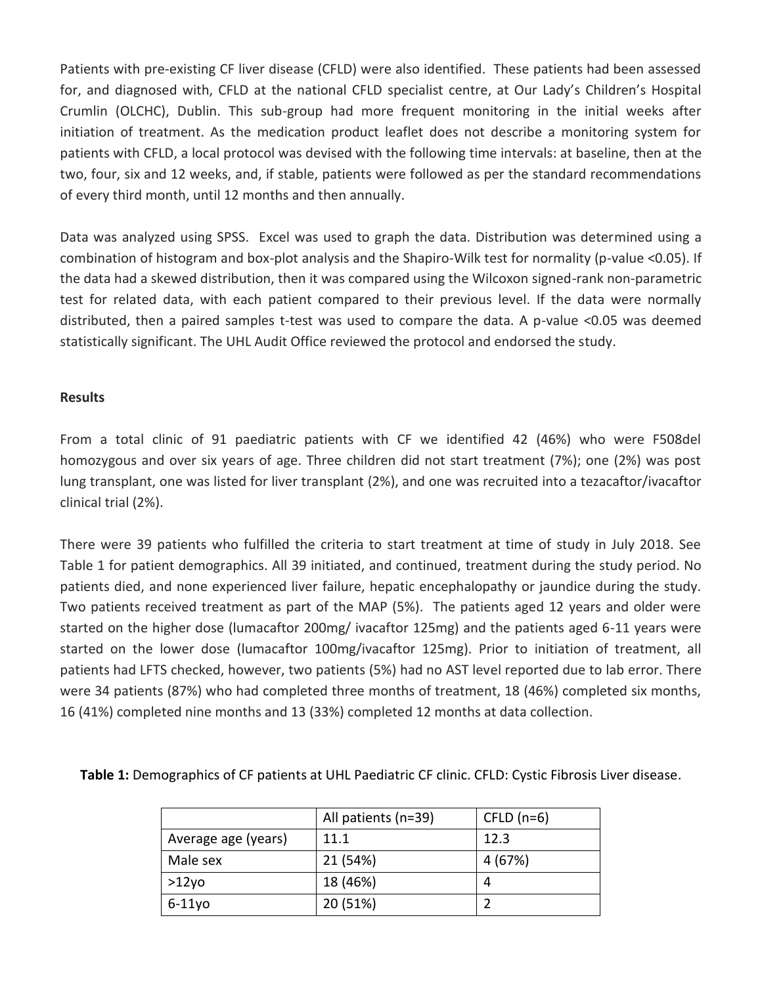Patients with pre-existing CF liver disease (CFLD) were also identified. These patients had been assessed for, and diagnosed with, CFLD at the national CFLD specialist centre, at Our Lady's Children's Hospital Crumlin (OLCHC), Dublin. This sub-group had more frequent monitoring in the initial weeks after initiation of treatment. As the medication product leaflet does not describe a monitoring system for patients with CFLD, a local protocol was devised with the following time intervals: at baseline, then at the two, four, six and 12 weeks, and, if stable, patients were followed as per the standard recommendations of every third month, until 12 months and then annually.

Data was analyzed using SPSS. Excel was used to graph the data. Distribution was determined using a combination of histogram and box-plot analysis and the Shapiro-Wilk test for normality (p-value <0.05). If the data had a skewed distribution, then it was compared using the Wilcoxon signed-rank non-parametric test for related data, with each patient compared to their previous level. If the data were normally distributed, then a paired samples t-test was used to compare the data. A p-value <0.05 was deemed statistically significant. The UHL Audit Office reviewed the protocol and endorsed the study.

#### **Results**

From a total clinic of 91 paediatric patients with CF we identified 42 (46%) who were F508del homozygous and over six years of age. Three children did not start treatment (7%); one (2%) was post lung transplant, one was listed for liver transplant (2%), and one was recruited into a tezacaftor/ivacaftor clinical trial (2%).

There were 39 patients who fulfilled the criteria to start treatment at time of study in July 2018. See Table 1 for patient demographics. All 39 initiated, and continued, treatment during the study period. No patients died, and none experienced liver failure, hepatic encephalopathy or jaundice during the study. Two patients received treatment as part of the MAP (5%). The patients aged 12 years and older were started on the higher dose (lumacaftor 200mg/ ivacaftor 125mg) and the patients aged 6-11 years were started on the lower dose (lumacaftor 100mg/ivacaftor 125mg). Prior to initiation of treatment, all patients had LFTS checked, however, two patients (5%) had no AST level reported due to lab error. There were 34 patients (87%) who had completed three months of treatment, 18 (46%) completed six months, 16 (41%) completed nine months and 13 (33%) completed 12 months at data collection.

|                     | All patients (n=39) | CFLD $(n=6)$ |
|---------------------|---------------------|--------------|
| Average age (years) | 11.1                | 12.3         |
| Male sex            | 21 (54%)            | 4 (67%)      |
| >12y0               | 18 (46%)            | 4            |
| $6-11$ yo           | 20 (51%)            |              |

**Table 1:** Demographics of CF patients at UHL Paediatric CF clinic. CFLD: Cystic Fibrosis Liver disease.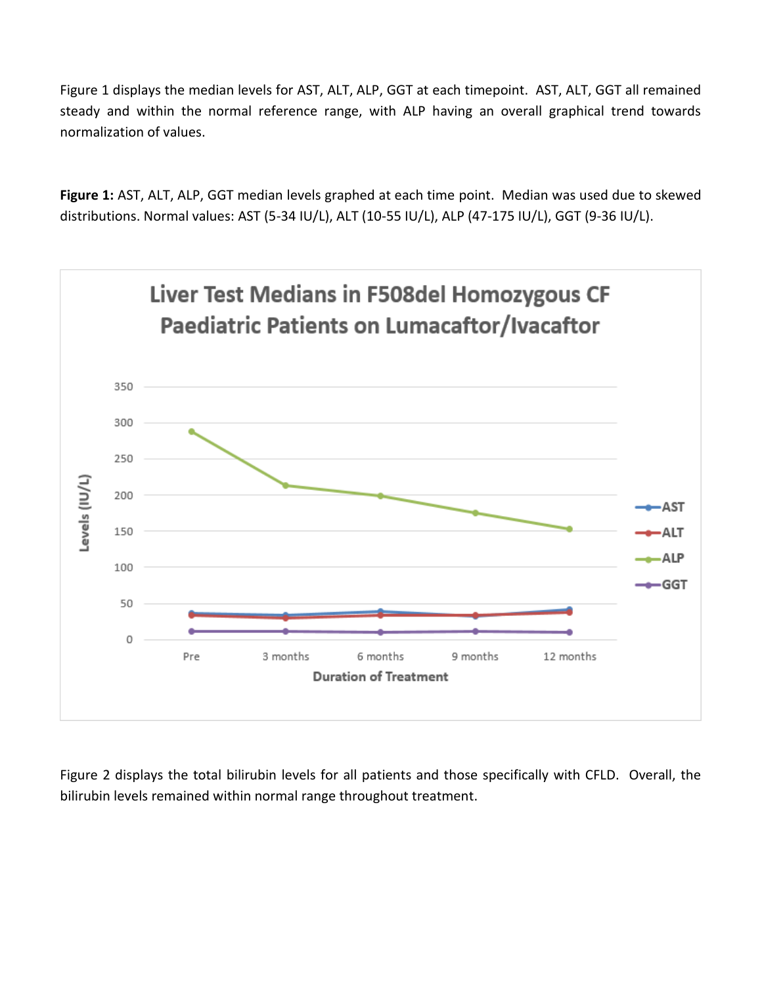Figure 1 displays the median levels for AST, ALT, ALP, GGT at each timepoint. AST, ALT, GGT all remained steady and within the normal reference range, with ALP having an overall graphical trend towards normalization of values.

**Figure 1:** AST, ALT, ALP, GGT median levels graphed at each time point. Median was used due to skewed distributions. Normal values: AST (5-34 IU/L), ALT (10-55 IU/L), ALP (47-175 IU/L), GGT (9-36 IU/L).



Figure 2 displays the total bilirubin levels for all patients and those specifically with CFLD. Overall, the bilirubin levels remained within normal range throughout treatment.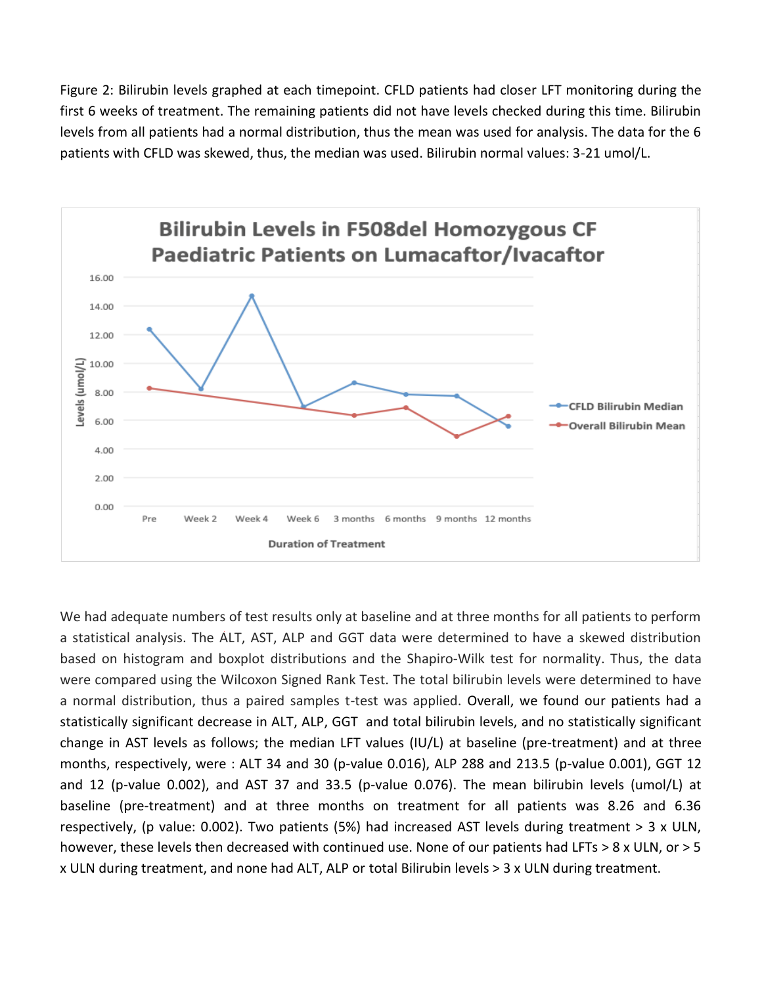Figure 2: Bilirubin levels graphed at each timepoint. CFLD patients had closer LFT monitoring during the first 6 weeks of treatment. The remaining patients did not have levels checked during this time. Bilirubin levels from all patients had a normal distribution, thus the mean was used for analysis. The data for the 6 patients with CFLD was skewed, thus, the median was used. Bilirubin normal values: 3-21 umol/L.



We had adequate numbers of test results only at baseline and at three months for all patients to perform a statistical analysis. The ALT, AST, ALP and GGT data were determined to have a skewed distribution based on histogram and boxplot distributions and the Shapiro-Wilk test for normality. Thus, the data were compared using the Wilcoxon Signed Rank Test. The total bilirubin levels were determined to have a normal distribution, thus a paired samples t-test was applied. Overall, we found our patients had a statistically significant decrease in ALT, ALP, GGT and total bilirubin levels, and no statistically significant change in AST levels as follows; the median LFT values (IU/L) at baseline (pre-treatment) and at three months, respectively, were : ALT 34 and 30 (p-value 0.016), ALP 288 and 213.5 (p-value 0.001), GGT 12 and 12 (p-value 0.002), and AST 37 and 33.5 (p-value 0.076). The mean bilirubin levels (umol/L) at baseline (pre-treatment) and at three months on treatment for all patients was 8.26 and 6.36 respectively, (p value: 0.002). Two patients (5%) had increased AST levels during treatment > 3 x ULN, however, these levels then decreased with continued use. None of our patients had LFTs > 8 x ULN, or > 5 x ULN during treatment, and none had ALT, ALP or total Bilirubin levels > 3 x ULN during treatment.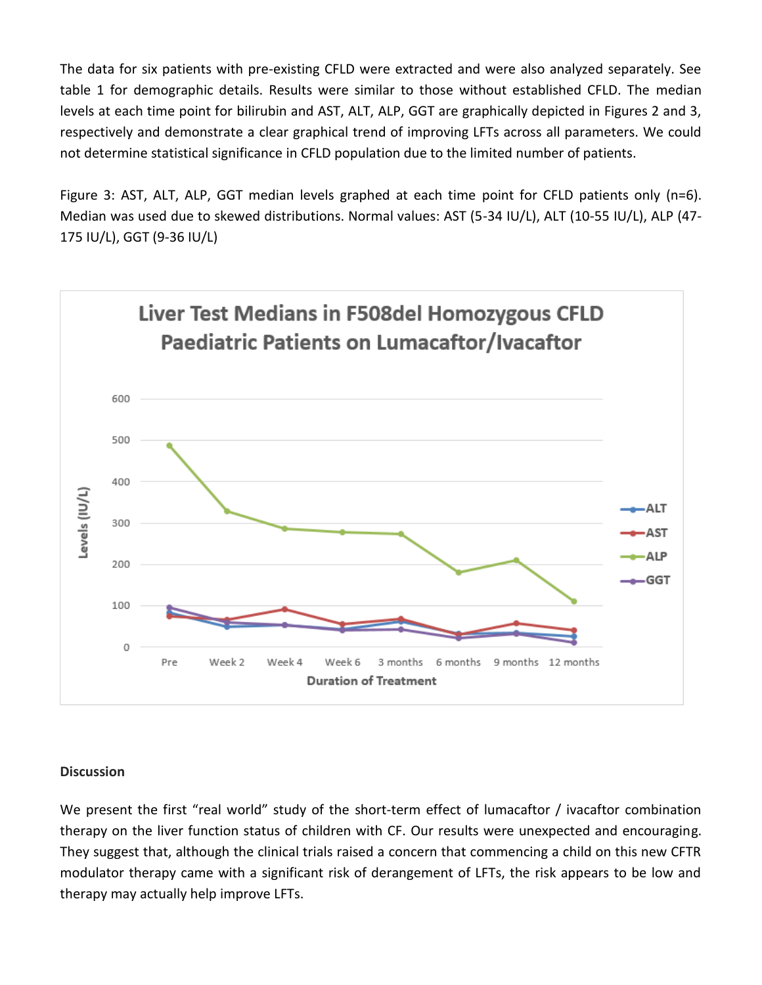The data for six patients with pre-existing CFLD were extracted and were also analyzed separately. See table 1 for demographic details. Results were similar to those without established CFLD. The median levels at each time point for bilirubin and AST, ALT, ALP, GGT are graphically depicted in Figures 2 and 3, respectively and demonstrate a clear graphical trend of improving LFTs across all parameters. We could not determine statistical significance in CFLD population due to the limited number of patients.

Figure 3: AST, ALT, ALP, GGT median levels graphed at each time point for CFLD patients only (n=6). Median was used due to skewed distributions. Normal values: AST (5-34 IU/L), ALT (10-55 IU/L), ALP (47- 175 IU/L), GGT (9-36 IU/L)



#### **Discussion**

We present the first "real world" study of the short-term effect of lumacaftor / ivacaftor combination therapy on the liver function status of children with CF. Our results were unexpected and encouraging. They suggest that, although the clinical trials raised a concern that commencing a child on this new CFTR modulator therapy came with a significant risk of derangement of LFTs, the risk appears to be low and therapy may actually help improve LFTs.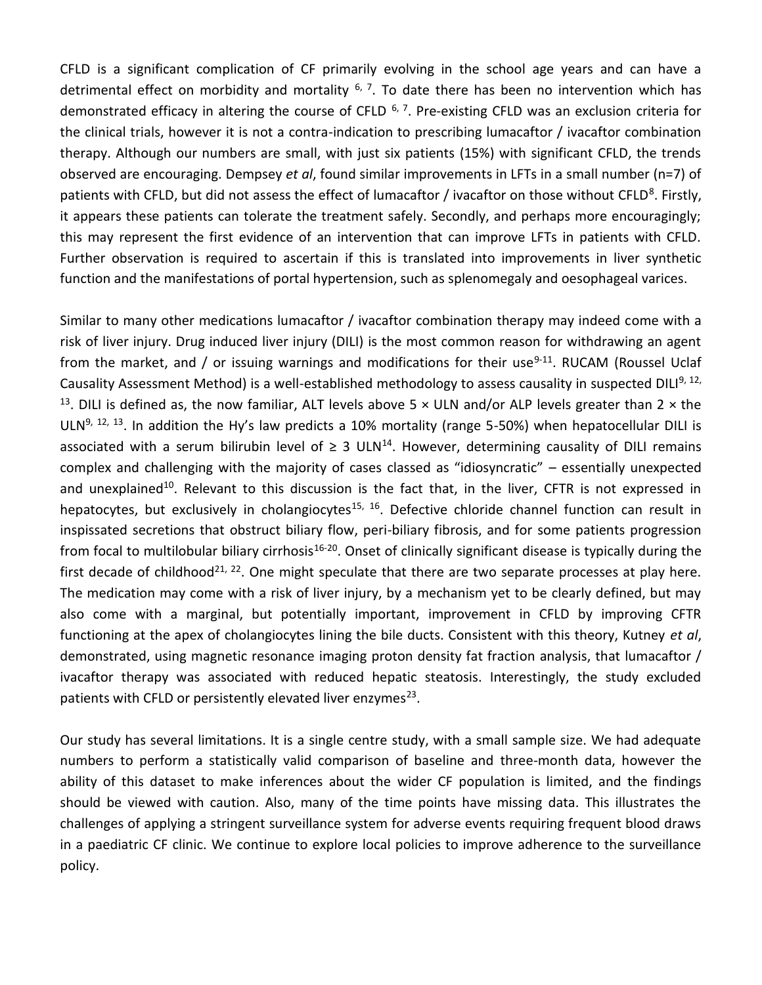CFLD is a significant complication of CF primarily evolving in the school age years and can have a detrimental effect on morbidity and mortality  $6, 7$ . To date there has been no intervention which has demonstrated efficacy in altering the course of CFLD  $6, 7$ . Pre-existing CFLD was an exclusion criteria for the clinical trials, however it is not a contra-indication to prescribing lumacaftor / ivacaftor combination therapy. Although our numbers are small, with just six patients (15%) with significant CFLD, the trends observed are encouraging. Dempsey *et al*, found similar improvements in LFTs in a small number (n=7) of patients with CFLD, but did not assess the effect of lumacaftor / ivacaftor on those without CFLD<sup>8</sup>. Firstly, it appears these patients can tolerate the treatment safely. Secondly, and perhaps more encouragingly; this may represent the first evidence of an intervention that can improve LFTs in patients with CFLD. Further observation is required to ascertain if this is translated into improvements in liver synthetic function and the manifestations of portal hypertension, such as splenomegaly and oesophageal varices.

Similar to many other medications lumacaftor / ivacaftor combination therapy may indeed come with a risk of liver injury. Drug induced liver injury (DILI) is the most common reason for withdrawing an agent from the market, and / or issuing warnings and modifications for their use<sup>9-11</sup>. RUCAM (Roussel Uclaf Causality Assessment Method) is a well-established methodology to assess causality in suspected DILI<sup>9, 12,</sup> <sup>13</sup>. DILI is defined as, the now familiar, ALT levels above 5  $\times$  ULN and/or ALP levels greater than 2  $\times$  the ULN<sup>9, 12, 13</sup>. In addition the Hy's law predicts a 10% mortality (range 5-50%) when hepatocellular DILI is associated with a serum bilirubin level of  $\geq 3$  ULN<sup>14</sup>. However, determining causality of DILI remains complex and challenging with the majority of cases classed as "idiosyncratic" – essentially unexpected and unexplained<sup>10</sup>. Relevant to this discussion is the fact that, in the liver, CFTR is not expressed in hepatocytes, but exclusively in cholangiocytes<sup>15, 16</sup>. Defective chloride channel function can result in inspissated secretions that obstruct biliary flow, peri-biliary fibrosis, and for some patients progression from focal to multilobular biliary cirrhosis<sup>16-20</sup>. Onset of clinically significant disease is typically during the first decade of childhood<sup>21, 22</sup>. One might speculate that there are two separate processes at play here. The medication may come with a risk of liver injury, by a mechanism yet to be clearly defined, but may also come with a marginal, but potentially important, improvement in CFLD by improving CFTR functioning at the apex of cholangiocytes lining the bile ducts. Consistent with this theory, Kutney *et al*, demonstrated, using magnetic resonance imaging proton density fat fraction analysis, that lumacaftor / ivacaftor therapy was associated with reduced hepatic steatosis. Interestingly, the study excluded patients with CFLD or persistently elevated liver enzymes<sup>23</sup>.

Our study has several limitations. It is a single centre study, with a small sample size. We had adequate numbers to perform a statistically valid comparison of baseline and three-month data, however the ability of this dataset to make inferences about the wider CF population is limited, and the findings should be viewed with caution. Also, many of the time points have missing data. This illustrates the challenges of applying a stringent surveillance system for adverse events requiring frequent blood draws in a paediatric CF clinic. We continue to explore local policies to improve adherence to the surveillance policy.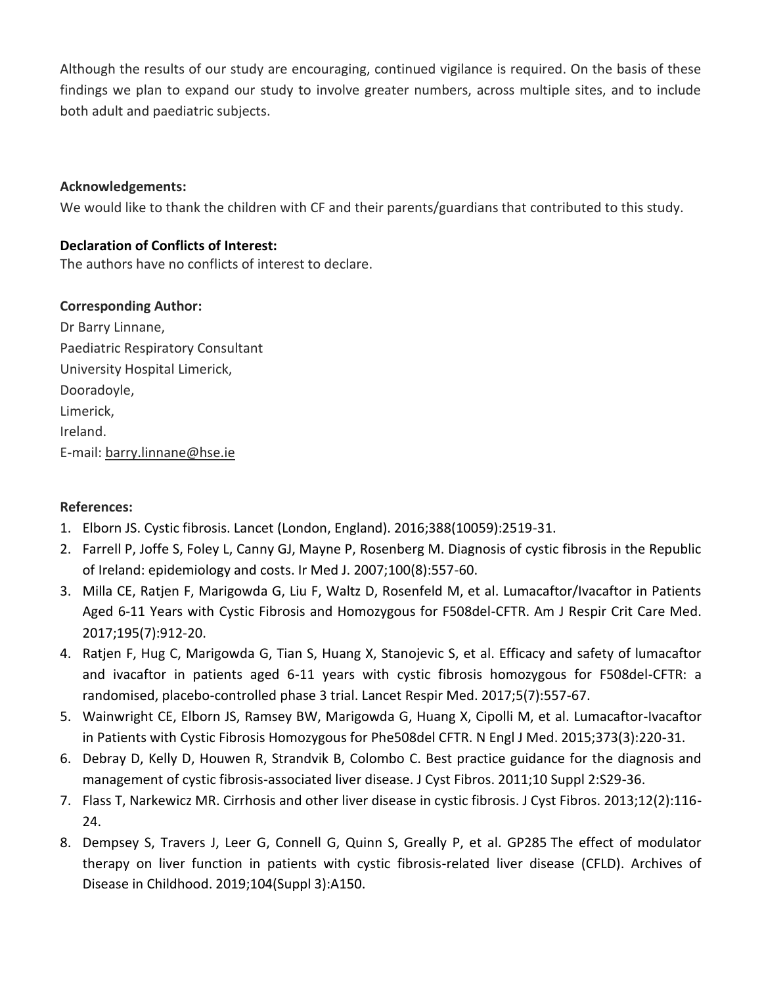Although the results of our study are encouraging, continued vigilance is required. On the basis of these findings we plan to expand our study to involve greater numbers, across multiple sites, and to include both adult and paediatric subjects.

### **Acknowledgements:**

We would like to thank the children with CF and their parents/guardians that contributed to this study.

## **Declaration of Conflicts of Interest:**

The authors have no conflicts of interest to declare.

## **Corresponding Author:**

Dr Barry Linnane, Paediatric Respiratory Consultant University Hospital Limerick, Dooradoyle, Limerick, Ireland. E-mail: [barry.linnane@hse.ie](mailto:barry.linnane@hse.ie)

#### **References:**

- 1. Elborn JS. Cystic fibrosis. Lancet (London, England). 2016;388(10059):2519-31.
- 2. Farrell P, Joffe S, Foley L, Canny GJ, Mayne P, Rosenberg M. Diagnosis of cystic fibrosis in the Republic of Ireland: epidemiology and costs. Ir Med J. 2007;100(8):557-60.
- 3. Milla CE, Ratjen F, Marigowda G, Liu F, Waltz D, Rosenfeld M, et al. Lumacaftor/Ivacaftor in Patients Aged 6-11 Years with Cystic Fibrosis and Homozygous for F508del-CFTR. Am J Respir Crit Care Med. 2017;195(7):912-20.
- 4. Ratjen F, Hug C, Marigowda G, Tian S, Huang X, Stanojevic S, et al. Efficacy and safety of lumacaftor and ivacaftor in patients aged 6-11 years with cystic fibrosis homozygous for F508del-CFTR: a randomised, placebo-controlled phase 3 trial. Lancet Respir Med. 2017;5(7):557-67.
- 5. Wainwright CE, Elborn JS, Ramsey BW, Marigowda G, Huang X, Cipolli M, et al. Lumacaftor-Ivacaftor in Patients with Cystic Fibrosis Homozygous for Phe508del CFTR. N Engl J Med. 2015;373(3):220-31.
- 6. Debray D, Kelly D, Houwen R, Strandvik B, Colombo C. Best practice guidance for the diagnosis and management of cystic fibrosis-associated liver disease. J Cyst Fibros. 2011;10 Suppl 2:S29-36.
- 7. Flass T, Narkewicz MR. Cirrhosis and other liver disease in cystic fibrosis. J Cyst Fibros. 2013;12(2):116- 24.
- 8. Dempsey S, Travers J, Leer G, Connell G, Quinn S, Greally P, et al. GP285 The effect of modulator therapy on liver function in patients with cystic fibrosis-related liver disease (CFLD). Archives of Disease in Childhood. 2019;104(Suppl 3):A150.